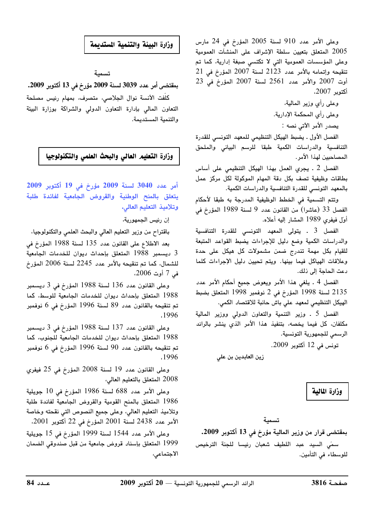وعلى الأمر عدد 910 لسنة 2005 المؤرخ في 24 مارس 2005 المتعلق بتعيين سلطة الإشراف على المنشآت العمومية وعلى المؤسسات العمومية التى لا تكتسى صبغة إدارية، كما تم تنقيحه وإتمامه بالأمر عدد 2123 لسنة 2007 المؤرخ في 21  $23$  أوت 2007 والأمر عدد 2561 لسنة 2007 المؤرخ في أكتوبر 2007.

> وعلى رأى وزير المالية، وعلى رأى المحكمة الإدارية. يصدر الأمر الآتي نصه :

الفصل الأول ـ يضبط الهيكل التنظيمى للمعهد التونسي للقدرة التنافسية والدراسات الكمية طبقا للرسم البيانى والملحق المصاحبين لهذا الأمر.

الفصل 2 ـ يجرى العمل بهذا الهيكل التنظيمي على أساس بطاقات وظيفية تصف بكل دقة المهام الموكولة لكل مركز عمل بالمعهد التونسي للقدرة التنافسية والدراسات الكمية.

وتتم التسمية في الخطط الوظيفية المدرجة به طبقا لأحكام الفصل 33 (عاشرا) من القانون عدد 9 لسنة 1989 المؤرخ في أول فيفرى 1989 المشار إليه أعلاه.

الفصل 3 . يتولى المعهد التونسى للقدرة التنافسية والدراسات الكمية وضع دليل للإجراءات يضبط القواعد المتبعة للقيام بكل مهمة تندرج ضمن مشمولات كل هيكل على حدة وعلاقات الهياكل فيما بينها. ويتم تحيين دليل الإجراءات كلما دعت الحاجة إلى ذلك.

الفصل 4 ـ يلغى هذا الأمر ويعوض جميع أحكام الأمر عدد 2135 لسنة 1998 المؤرخ في 2 نوفمبر 1998 المتعلق بضبط .<br>الهيكل التنظيمي لمعهد علي<sup>ّ</sup> باش حانبة للاقتصاد الكمى.

الفصل 5 ـ وزير التنمية والتعاون الدولى ووزير المالية مكلفان، كل فيما يخصه، بتنفيذ هذا الأمر الذي ينشر بالرائد الرسمى للجمهورية التونسية.

تونس في 12 أكتوبر 2009.

زين العابدين بن علي

وزارة المالية

بمقتضى قرار من وزير المالية مؤرخ في 13 أكتوبر 2009. سمّى السيد عبد اللطيف شعبان رئيسا للجنة الترخيص للوسطاء في التأمين.

## وزارة البيئة والتنمية المستدبمة

تسمىة

بمقتضى أمر عدد 3039 لسنة 2009 مؤرخ في 13 أكتوبر 2009. كلُّفت الآنسة نوال الجلاصى، متصرف، بمهام رئيس مصلحة التعاون المالى بإدارة التعاون الدولى والشراكة بوزارة البيئة والتنمية المستديمة.

وزارة التعليم العالى والبحث العلمى والتكنولوجيا

أمر عدد 3040 لسنة 2009 مؤرخ في 19 أكتوبر 2009 يتعلق بالمنح الوطنية والقروض الجامعية لفائدة طلبة وتلاميذ التعليم العالى.

إن رئيس الجمهورية،

باقتراح من وزير التعليم العالى والبحث العلمى والتكنولوجيا،

بعد الاطلاع على القانون عدد 135 لسنة 1988 المؤرخ في 3 ديسمبر 1988 المتعلق بإحداث ديوان للخدمات الجامعية للشمال، كما تم تنقيحه بالأمر عدد 2245 لسنة 2006 المؤرخ فمي 7 أوت 2006.

وعلى القانون عدد 136 لسنة 1988 المؤرخ في 3 ديسمبر 1988 المتعلق بإحداث ديوان للخدمات الجامعية للوسط، كما تم تنقيحه بالقانون عدد 89 لسنة 1996 المؤرخ في 6 نوفمبر .1996

وعلى القانون عدد 137 لسنة 1988 المؤرخ في 3 ديسمبر 1988 المتعلق بإحداث ديوان للخدمات الجامعية للجنوب، كما تم تنقيحه بالقانون عدد 90 لسنة 1996 المؤرخ في 6 نوفمبر .1996

وعلى القانون عدد 19 لسنة 2008 المؤرخ في 25 فيفري 2008 المتعلق بالتعليم العالى،

وعلى الأمر عدد 688 لسنة 1986 المؤرخ في 10 جويلية 1986 المتعلق بالمنح القومية والقروض الجامعية لفائدة طلبة وتلاميذ التعليم العالي، وعلى جميع النصوص التي نقحته وخاصة الأمر عدد 2438 لسنة 2001 المؤرخ في 22 أكتوبر 2001،

وعلى الأمر عدد 1544 لسنة 1999 المؤرخ في 15 جويلية 1999 المتعلق بإسناد قروض جامعية من قبل صندوقي الضمان الاجتماعي،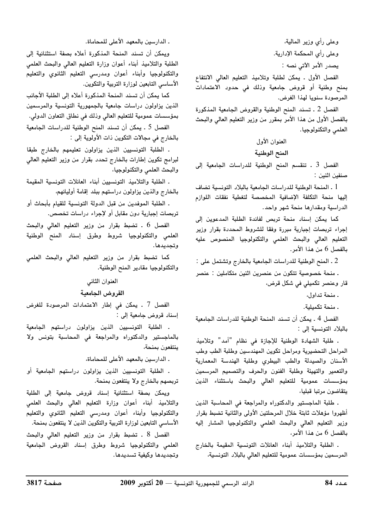وعلى رأي وزير المالية، وعلى رأي المحكمة الإدارية. يصدر الأمر الآتي نصه :

الفصل الأول . يمكن لطلبة وتلاميذ التعليم العالي الانتفاع بمنح وطنية أو قروض جامعية وذلك في حدود الاعتمادات المرصودة سنويا لهذا الغرض.

الفصل 2 ـ تسند المنح الوطنية والقروض الجامعية المذكورة بالفصل الأول من هذا الأمر بمقرر من وزير التعليم العالى والبحث العلمي والتكنولوجيا.

## العنوان الأول

## المنح الوطنية

الفصل 3 ـ تنقسم المنح الوطنية للدراسات الجامعية إلى صنفين اثنين :

1 ـ المنحة الوطنية للدراسات الجامعية بالبلاد التونسية تضاف إليها منحة التكلفة الإضافية المخصصة لتغطية نفقات اللوازم الدراسية ومقدارها منحة شهر واحد.

كما يمكن إسناد منحة تربص لفائدة الطلبة المدعوين إلى إجراء تربصات إجبارية مبررة وفقا للشروط المحددة بقرار وزير التعليم العالي والبحث العلمي والتكنولوجيا المنصوص عليه بالفصل 6 من هذا الأمر.

2 . المنح الوطنية للدراسات الجامعية بالخارج وتشتمل على : . منحة خصوصية تتكون من عنصرين اثنين متكاملين : عنصر

قار وعنصر تكميلي في شكل قرض،

- منحة تداول،

. منحة تكميلية.

الفصل 4 . يمكن أن تسند المنحة الوطنية للدراسات الجامعية بالبلاد التونسية إلى :

. طلبة الشهادة الوطنية للإجازة في نظام "أمد" وتلاميذ المراحل التحضيرية ومراحل تكوين المهندسين وطلبة الطب وطب الأسنان والصيدلة والطب البيطرى وطلبة الهندسة المعمارية والتعمير والتهيئة وطلبة الفنون والحرف والتصميم المرسمين بمؤسسات عمومية للتعليم العالى والبحث باستثناء الذين يتقاضون مرتبا قبليا،

. طلبة الماجستير والدكتوراه والمراجعة في المحاسبة الذين أظهروا مؤهلات ثابتة خلال المرحلتين الأولى والثانية تضبط بقرار وزير التعليم العالي والبحث العلمي والتكنولوجيا المشار إليه بالفصل 6 من هذا الأمر،

. الطلبة والتلاميذ أبناء العائلات التونسية المقيمة بالخارج المرسمين بمؤسسات عمومية للتعليم العالى بالبلاد التونسية،

ـ الدارسين بالمعهد الأعلى للمحاماة.

ويمكن أن تسند المنحة المذكورة أعلاه بصفة استثنائية إلى الطلبة والتلاميذ أبناء أعوان وزارة التعليم العالى والبحث العلمى والتكنولوجيا وأبناء أعوان ومدرسي التعليم الثانوي والتعليم الأساسي التابعين لوزارة التربية والتكوين.

كما يمكن أن تسند المنحة المذكورة أعلاه إلى الطلبة الأجانب الذين يزاولون دراسات جامعية بالجمهورية التونسية والمرسمين بمؤسسات عمومية للتعليم العالى وذلك في نطاق التعاون الدولي.

الفصل 5 . يمكن أن تسند المنح الوطنية للدراسات الجامعية بالخارج في مجالات التكوين ذات الأولوية إلى :

. الطلبة التونسيين الذين يزاولون تعليمهم بالخارج طبقا لبرامج تكوين إطارات بالخارج تحدد بقرار من وزير التعليم العالى والبحث العلمى والتكنولوجيا،

. الطلبة والتلاميذ التونسيين أبناء العائلات التونسية المقيمة بالخارج والذين يزاولون دراستهم ببلد إقامة أوليائهم،

. الطلبة الموفدين من قبل الدولة التونسية للقيام بأبحاث أو تربصات إجبارية دون مقابل أو لإجراء دراسات تخصص.

الفصل 6 . تضبط بقرار من وزير التعليم العالي والبحث العلمى والتكنولوجيا شروط وطرق إسناد المنح الوطنية وتجديدها.

كما تضبط بقرار من وزير التعليم العالى والبحث العلمى والتكنولوجيا مقادير المنح الوطنية.

#### العنوان الثاني

### القروض الجامعية

الفصل 7 ـ يمكن في إطار الاعتمادات المرصودة للغرض إسناد قروض جامعية إلى :

. الطلبة التونسيين الذين يزاولون دراستهم الجامعية بالماجستير والدكتوراه والمراجعة في المحاسبة بتونس ولا ينتفعون بمنحة،

ـ الدارسين بالمعهد الأعلى للمحاماة،

. الطلبة التونسيين الذين يزاولون دراستهم الجامعية أو تربصهم بالخارج ولا ينتفعون بمنحة.

ويمكن بصفة استثنائية إسناد قروض جامعية إلى الطلبة والتلاميذ أبناء أعوان وزارة التعليم العالى والبحث العلمى والتكنولوجيا وأبناء أعوان ومدرسى التعليم الثانوي والتعليم الأساسي التابعين لوزارة التربية والتكوين الذين لا ينتفعون بمنحة.

الفصل 8 ـ تضبط بقرار من وزير التعليم العالى والبحث العلمى والتكنولوجيا شروط وطرق إسناد القروض الجامعية وتجديدها وكيفية تسديدها.